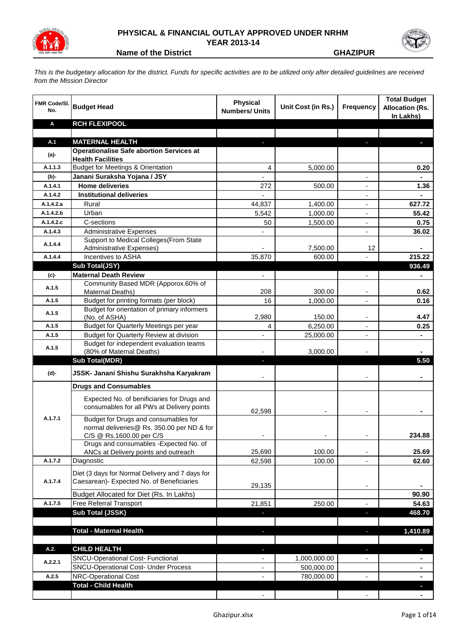

## **PHYSICAL & FINANCIAL OUTLAY APPROVED UNDER NRHM YEAR 2013-14**



**Name of the District CHAZIPUR GHAZIPUR** 

*This is the budgetary allocation for the district. Funds for specific activities are to be utilized only after detailed guidelines are received from the Mission Director*

| <b>FMR Code/SI.</b><br>No. | <b>Budget Head</b>                                                                                             | <b>Physical</b><br><b>Numbers/ Units</b> | Unit Cost (in Rs.) | <b>Frequency</b>         | <b>Total Budget</b><br><b>Allocation (Rs.</b><br>In Lakhs) |
|----------------------------|----------------------------------------------------------------------------------------------------------------|------------------------------------------|--------------------|--------------------------|------------------------------------------------------------|
| A                          | <b>RCH FLEXIPOOL</b>                                                                                           |                                          |                    |                          |                                                            |
| A.1                        | <b>MATERNAL HEALTH</b>                                                                                         |                                          |                    |                          |                                                            |
|                            | <b>Operationalise Safe abortion Services at</b>                                                                |                                          |                    |                          |                                                            |
| (a)-                       | <b>Health Facilities</b>                                                                                       |                                          |                    |                          |                                                            |
| A.1.1.3                    | <b>Budget for Meetings &amp; Orientation</b>                                                                   | 4                                        | 5,000.00           |                          | 0.20                                                       |
| (b)-                       | Janani Suraksha Yojana / JSY                                                                                   | $\overline{a}$                           |                    |                          | $\mathbf{r}$                                               |
| A.1.4.1                    | <b>Home deliveries</b>                                                                                         | 272                                      | 500.00             |                          | 1.36                                                       |
| A.1.4.2                    | <b>Institutional deliveries</b>                                                                                | ä,                                       |                    |                          |                                                            |
| A.1.4.2.a                  | Rural                                                                                                          | 44,837                                   | 1,400.00           |                          | 627.72                                                     |
| A.1.4.2.b                  | Urban                                                                                                          | 5,542                                    | 1,000.00           | ÷,                       | 55.42                                                      |
| A.1.4.2.c                  | C-sections                                                                                                     | 50                                       | 1,500.00           | ÷,                       | 0.75                                                       |
| A.1.4.3                    | <b>Administrative Expenses</b>                                                                                 |                                          |                    |                          | 36.02                                                      |
| A.1.4.4                    | Support to Medical Colleges (From State                                                                        |                                          |                    |                          |                                                            |
| A.1.4.4                    | <b>Administrative Expenses)</b><br>Incentives to ASHA                                                          |                                          | 7,500.00<br>600.00 | 12                       | 215.22                                                     |
|                            | Sub Total(JSY)                                                                                                 | 35,870                                   |                    |                          | 936.49                                                     |
| (c)-                       | <b>Maternal Death Review</b>                                                                                   | $\blacksquare$                           |                    | $\overline{a}$           |                                                            |
|                            | Community Based MDR (Apporox.60% of                                                                            |                                          |                    |                          |                                                            |
| A.1.5                      | Maternal Deaths)                                                                                               | 208                                      | 300.00             |                          | 0.62                                                       |
| A.1.5                      | Budget for printing formats (per block)                                                                        | 16                                       | 1,000.00           |                          | 0.16                                                       |
| A.1.5                      | Budget for orientation of primary informers<br>(No. of ASHA)                                                   | 2,980                                    | 150.00             |                          | 4.47                                                       |
| A.1.5                      | Budget for Quarterly Meetings per year                                                                         | 4                                        | 6,250.00           |                          | 0.25                                                       |
| A.1.5                      | Budget for Quarterly Review at division                                                                        | $\overline{a}$                           | 25,000.00          |                          |                                                            |
|                            | Budget for independent evaluation teams                                                                        |                                          |                    |                          |                                                            |
| A.1.5                      | (80% of Maternal Deaths)                                                                                       |                                          | 3,000.00           |                          |                                                            |
|                            | <b>Sub Total(MDR)</b>                                                                                          | ٠                                        |                    |                          | 5.50                                                       |
| (d)-                       | JSSK- Janani Shishu Surakhsha Karyakram                                                                        |                                          |                    |                          |                                                            |
|                            | <b>Drugs and Consumables</b>                                                                                   |                                          |                    |                          |                                                            |
|                            | Expected No. of benificiaries for Drugs and<br>consumables for all PWs at Delivery points                      | 62,598                                   |                    |                          |                                                            |
| A.1.7.1                    | Budget for Drugs and consumables for<br>normal deliveries@ Rs. 350.00 per ND & for<br>C/S @ Rs.1600.00 per C/S |                                          |                    |                          | 234.88                                                     |
|                            | Drugs and consumables - Expected No. of                                                                        |                                          |                    |                          |                                                            |
|                            | ANCs at Delivery points and outreach                                                                           | 25,690                                   | 100.00             | -                        | 25.69                                                      |
| A.1.7.2                    | Diagnostic                                                                                                     | 62,598                                   | 100.00             | $\overline{\phantom{0}}$ | 62.60                                                      |
|                            | Diet (3 days for Normal Delivery and 7 days for                                                                |                                          |                    |                          |                                                            |
| A.1.7.4                    | Caesarean)- Expected No. of Beneficiaries                                                                      | 29,135                                   |                    |                          |                                                            |
|                            | Budget Allocated for Diet (Rs. In Lakhs)                                                                       |                                          |                    |                          | 90.90                                                      |
| A.1.7.5                    | Free Referral Transport                                                                                        | 21,851                                   | 250.00             |                          | 54.63                                                      |
|                            | Sub Total (JSSK)                                                                                               |                                          |                    | J,                       | 468.70                                                     |
|                            |                                                                                                                |                                          |                    |                          |                                                            |
|                            | <b>Total - Maternal Health</b>                                                                                 |                                          |                    |                          | 1,410.89                                                   |
| A.2.                       | <b>CHILD HEALTH</b>                                                                                            |                                          |                    | ٠                        |                                                            |
|                            | <b>SNCU-Operational Cost- Functional</b>                                                                       |                                          | 1,000,000.00       |                          |                                                            |
| A.2.2.1                    | <b>SNCU-Operational Cost- Under Process</b>                                                                    | $\overline{\phantom{a}}$                 | 500,000.00         |                          | ۰                                                          |
| A.2.5                      | NRC-Operational Cost                                                                                           |                                          | 780,000.00         |                          | $\blacksquare$                                             |
|                            | <b>Total - Child Health</b>                                                                                    |                                          |                    |                          |                                                            |
|                            |                                                                                                                |                                          |                    |                          |                                                            |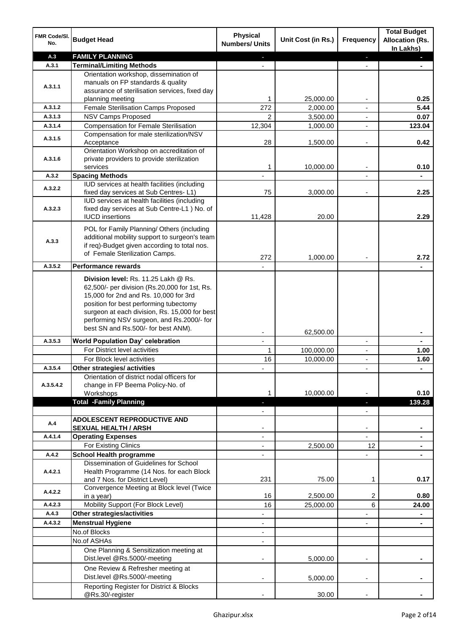| FMR Code/SI.<br>No. | <b>Budget Head</b>                                                                         | <b>Physical</b><br><b>Numbers/ Units</b> | Unit Cost (in Rs.)      | Frequency                                  | <b>Total Budget</b><br><b>Allocation (Rs.</b><br>In Lakhs) |
|---------------------|--------------------------------------------------------------------------------------------|------------------------------------------|-------------------------|--------------------------------------------|------------------------------------------------------------|
| A.3                 | <b>FAMILY PLANNING</b>                                                                     |                                          |                         | ٠                                          |                                                            |
| A.3.1               | <b>Terminal/Limiting Methods</b>                                                           |                                          |                         |                                            |                                                            |
|                     | Orientation workshop, dissemination of                                                     |                                          |                         |                                            |                                                            |
| A.3.1.1             | manuals on FP standards & quality<br>assurance of sterilisation services, fixed day        |                                          |                         |                                            |                                                            |
|                     | planning meeting                                                                           | 1                                        | 25,000.00               |                                            | 0.25                                                       |
| A.3.1.2             | Female Sterilisation Camps Proposed                                                        | 272                                      | 2,000.00                |                                            | 5.44                                                       |
| A.3.1.3             | <b>NSV Camps Proposed</b>                                                                  | 2                                        | 3,500.00                | $\blacksquare$                             | 0.07                                                       |
| A.3.1.4             | <b>Compensation for Female Sterilisation</b>                                               | 12,304                                   | 1,000.00                | $\blacksquare$                             | 123.04                                                     |
| A.3.1.5             | Compensation for male sterilization/NSV                                                    |                                          |                         |                                            |                                                            |
|                     | Acceptance                                                                                 | 28                                       | 1,500.00                | $\overline{a}$                             | 0.42                                                       |
|                     | Orientation Workshop on accreditation of                                                   |                                          |                         |                                            |                                                            |
| A.3.1.6             | private providers to provide sterilization<br>services                                     | 1                                        | 10,000.00               | $\blacksquare$                             | 0.10                                                       |
| A.3.2               | <b>Spacing Methods</b>                                                                     |                                          |                         |                                            |                                                            |
|                     | IUD services at health facilities (including                                               |                                          |                         |                                            |                                                            |
| A.3.2.2             | fixed day services at Sub Centres-L1)                                                      | 75                                       | 3,000.00                |                                            | 2.25                                                       |
|                     | IUD services at health facilities (including                                               |                                          |                         |                                            |                                                            |
| A.3.2.3             | fixed day services at Sub Centre-L1 ) No. of                                               |                                          |                         |                                            |                                                            |
|                     | <b>IUCD</b> insertions                                                                     | 11,428                                   | 20.00                   |                                            | 2.29                                                       |
|                     | POL for Family Planning/ Others (including                                                 |                                          |                         |                                            |                                                            |
| A.3.3               | additional mobility support to surgeon's team                                              |                                          |                         |                                            |                                                            |
|                     | if req)-Budget given according to total nos.<br>of Female Sterilization Camps.             |                                          |                         |                                            |                                                            |
|                     |                                                                                            | 272                                      | 1,000.00                |                                            | 2.72                                                       |
| A.3.5.2             | <b>Performance rewards</b>                                                                 |                                          |                         |                                            |                                                            |
|                     | Division level: Rs. 11.25 Lakh @ Rs.                                                       |                                          |                         |                                            |                                                            |
|                     | 62,500/- per division (Rs.20,000 for 1st, Rs.                                              |                                          |                         |                                            |                                                            |
|                     | 15,000 for 2nd and Rs. 10,000 for 3rd                                                      |                                          |                         |                                            |                                                            |
|                     | position for best performing tubectomy                                                     |                                          |                         |                                            |                                                            |
|                     | surgeon at each division, Rs. 15,000 for best<br>performing NSV surgeon, and Rs.2000/- for |                                          |                         |                                            |                                                            |
|                     | best SN and Rs.500/- for best ANM).                                                        |                                          |                         |                                            |                                                            |
|                     |                                                                                            |                                          | 62,500.00               |                                            |                                                            |
| A.3.5.3             | <b>World Population Day' celebration</b><br>For District level activities                  | $\mathbf{r}$                             |                         | $\blacksquare$                             | $\blacksquare$                                             |
|                     | For Block level activities                                                                 | 1<br>16                                  | 100,000.00<br>10,000.00 | $\overline{\phantom{a}}$<br>$\blacksquare$ | 1.00<br>1.60                                               |
| A.3.5.4             | Other strategies/ activities                                                               |                                          |                         |                                            |                                                            |
|                     | Orientation of district nodal officers for                                                 |                                          |                         |                                            |                                                            |
| A.3.5.4.2           | change in FP Beema Policy-No. of                                                           |                                          |                         |                                            |                                                            |
|                     | Workshops                                                                                  |                                          | 10,000.00               |                                            | 0.10                                                       |
|                     | <b>Total -Family Planning</b>                                                              |                                          |                         |                                            | 139.28                                                     |
|                     |                                                                                            |                                          |                         |                                            |                                                            |
| A.4                 | <b>ADOLESCENT REPRODUCTIVE AND</b>                                                         |                                          |                         |                                            |                                                            |
| A.4.1.4             | <b>SEXUAL HEALTH / ARSH</b><br><b>Operating Expenses</b>                                   |                                          |                         |                                            |                                                            |
|                     | For Existing Clinics                                                                       |                                          | 2,500.00                | 12                                         |                                                            |
| A.4.2               | <b>School Health programme</b>                                                             |                                          |                         |                                            |                                                            |
|                     | Dissemination of Guidelines for School                                                     |                                          |                         |                                            |                                                            |
| A.4.2.1             | Health Programme (14 Nos. for each Block                                                   |                                          |                         |                                            |                                                            |
|                     | and 7 Nos. for District Level)                                                             | 231                                      | 75.00                   | 1                                          | 0.17                                                       |
| A.4.2.2             | Convergence Meeting at Block level (Twice                                                  |                                          |                         |                                            |                                                            |
|                     | in a year)                                                                                 | 16                                       | 2,500.00                | 2                                          | 0.80                                                       |
| A.4.2.3             | Mobility Support (For Block Level)                                                         | 16                                       | 25,000.00               | 6                                          | 24.00                                                      |
| A.4.3               | Other strategies/activities                                                                |                                          |                         |                                            |                                                            |
| A.4.3.2             | <b>Menstrual Hygiene</b><br>No.of Blocks                                                   |                                          |                         |                                            |                                                            |
|                     | No.of ASHAs                                                                                |                                          |                         |                                            |                                                            |
|                     | One Planning & Sensitization meeting at                                                    |                                          |                         |                                            |                                                            |
|                     | Dist.level @Rs.5000/-meeting                                                               |                                          | 5,000.00                |                                            |                                                            |
|                     | One Review & Refresher meeting at                                                          |                                          |                         |                                            |                                                            |
|                     | Dist.level @Rs.5000/-meeting                                                               |                                          | 5,000.00                |                                            |                                                            |
|                     | Reporting Register for District & Blocks                                                   |                                          |                         |                                            |                                                            |
|                     | @Rs.30/-register                                                                           |                                          | 30.00                   |                                            |                                                            |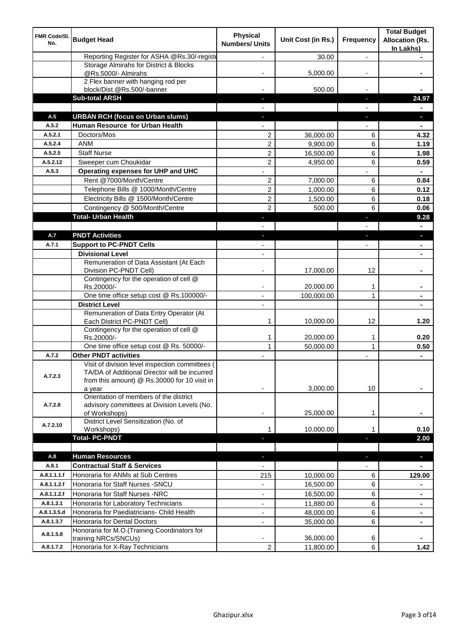| FMR Code/SI.<br>No. | <b>Budget Head</b>                                                                                                                               | <b>Physical</b><br><b>Numbers/ Units</b> | Unit Cost (in Rs.)     | Frequency         | <b>Total Budget</b><br><b>Allocation (Rs.</b><br>In Lakhs) |
|---------------------|--------------------------------------------------------------------------------------------------------------------------------------------------|------------------------------------------|------------------------|-------------------|------------------------------------------------------------|
|                     | Reporting Register for ASHA @Rs.30/-registe                                                                                                      |                                          | 30.00                  | $\overline{a}$    |                                                            |
|                     | Storage Almirahs for District & Blocks                                                                                                           |                                          |                        |                   |                                                            |
|                     | @Rs.5000/- Almirahs                                                                                                                              |                                          | 5,000.00               |                   |                                                            |
|                     | 2 Flex banner with hanging rod per<br>block/Dist.@Rs.500/-banner                                                                                 |                                          | 500.00                 |                   |                                                            |
|                     | <b>Sub-total ARSH</b>                                                                                                                            |                                          |                        | ı.                | 24.97                                                      |
|                     |                                                                                                                                                  |                                          |                        |                   |                                                            |
| A.5                 | <b>URBAN RCH (focus on Urban slums)</b>                                                                                                          |                                          |                        | J,                |                                                            |
| A.5.2               | Human Resource for Urban Health                                                                                                                  |                                          |                        |                   |                                                            |
| A.5.2.1             | Doctors/Mos                                                                                                                                      | 2                                        | 36,000.00              | 6                 | 4.32                                                       |
| A.5.2.4             | <b>ANM</b>                                                                                                                                       | $\overline{2}$                           | 9,900.00               | 6                 | 1.19                                                       |
| A.5.2.5             | <b>Staff Nurse</b>                                                                                                                               | $\overline{2}$                           | 16,500.00              | 6                 | 1.98                                                       |
| A.5.2.12            | Sweeper cum Choukidar                                                                                                                            | $\overline{2}$                           | 4,950.00               | 6                 | 0.59                                                       |
| A.5.3               | Operating expenses for UHP and UHC                                                                                                               |                                          |                        |                   |                                                            |
|                     | Rent @7000/Month/Centre                                                                                                                          | $\overline{c}$                           | 7,000.00               | 6                 | 0.84                                                       |
|                     | Telephone Bills @ 1000/Month/Centre                                                                                                              | $\overline{c}$                           | 1,000.00               | 6                 | 0.12                                                       |
|                     | Electricity Bills @ 1500/Month/Centre                                                                                                            | $\overline{c}$                           | 1,500.00               | 6                 | 0.18                                                       |
|                     | Contingency @ 500/Month/Centre                                                                                                                   | $\overline{c}$                           | 500.00                 | 6                 | 0.06                                                       |
|                     | <b>Total- Urban Health</b>                                                                                                                       |                                          |                        | Е                 | 9.28                                                       |
|                     |                                                                                                                                                  |                                          |                        |                   |                                                            |
| A.7                 | <b>PNDT Activities</b>                                                                                                                           |                                          |                        |                   |                                                            |
| A.7.1               | <b>Support to PC-PNDT Cells</b>                                                                                                                  |                                          |                        |                   |                                                            |
|                     | <b>Divisional Level</b>                                                                                                                          | $\overline{\phantom{a}}$                 |                        |                   |                                                            |
|                     | Remuneration of Data Assistant (At Each<br>Division PC-PNDT Cell)                                                                                |                                          | 17,000.00              | 12                |                                                            |
|                     | Contingency for the operation of cell @<br>Rs.20000/-                                                                                            |                                          | 20,000.00              | 1                 |                                                            |
|                     | One time office setup cost @ Rs.100000/-                                                                                                         | $\blacksquare$                           | 100,000.00             | 1                 |                                                            |
|                     | <b>District Level</b>                                                                                                                            |                                          |                        |                   |                                                            |
|                     | Remuneration of Data Entry Operator (At<br>Each District PC-PNDT Cell)                                                                           | 1                                        | 10,000.00              | 12                | 1.20                                                       |
|                     | Contingency for the operation of cell @                                                                                                          |                                          |                        |                   |                                                            |
|                     | Rs.20000/-<br>One time office setup cost @ Rs. 50000/-                                                                                           | 1<br>$\mathbf{1}$                        | 20,000.00<br>50,000.00 | 1<br>$\mathbf{1}$ | 0.20<br>0.50                                               |
| A.7.2               | <b>Other PNDT activities</b>                                                                                                                     |                                          |                        |                   | $\blacksquare$                                             |
| A.7.2.3             | Visit of division level inspection committees (<br>TA/DA of Additional Director will be incurred<br>from this amount) @ Rs.30000 for 10 visit in |                                          |                        |                   |                                                            |
| A.7.2.8             | a year<br>Orientation of members of the district<br>advisory committees at Division Levels (No.                                                  |                                          | 3,000.00               | 10                |                                                            |
|                     | of Workshops)<br>District Level Sensitization (No. of                                                                                            | ٠                                        | 25,000.00              | 1                 |                                                            |
| A.7.2.10            | Workshops)                                                                                                                                       | 1                                        | 10,000.00              |                   | 0.10                                                       |
|                     | <b>Total-PC-PNDT</b>                                                                                                                             |                                          |                        |                   | 2.00                                                       |
| A.8                 | <b>Human Resources</b>                                                                                                                           |                                          |                        | ٠                 | ٠                                                          |
| A.8.1               | <b>Contractual Staff &amp; Services</b>                                                                                                          |                                          |                        |                   |                                                            |
| A.8.1.1.1.f         | Honoraria for ANMs at Sub Centres                                                                                                                | 215                                      | 10,000.00              | 6                 | 129.00                                                     |
| A.8.1.1.2.f         | Honoraria for Staff Nurses - SNCU                                                                                                                |                                          | 16,500.00              | 6                 |                                                            |
| A.8.1.1.2.f         | Honoraria for Staff Nurses -NRC                                                                                                                  | $\overline{\phantom{a}}$                 | 16,500.00              | 6                 | $\blacksquare$                                             |
| A.8.1.2.1           | Honoraria for Laboratory Technicians                                                                                                             | ÷,                                       | 11,880.00              | 6                 | $\blacksquare$                                             |
| A.8.1.3.5.d         | Honoraria for Paediatricians- Child Health                                                                                                       | ÷,                                       | 48,000.00              | 6                 |                                                            |
| A.8.1.3.7           | Honoraria for Dental Doctors                                                                                                                     |                                          | 35,000.00              | 6                 |                                                            |
| A.8.1.5.8           | Honoraria for M.O.(Training Coordinators for<br>training NRCs/SNCUs)                                                                             |                                          | 36,000.00              | 6                 |                                                            |
| A.8.1.7.2           | Honoraria for X-Ray Technicians                                                                                                                  | $\overline{\mathbf{c}}$                  | 11,800.00              | 6                 | 1.42                                                       |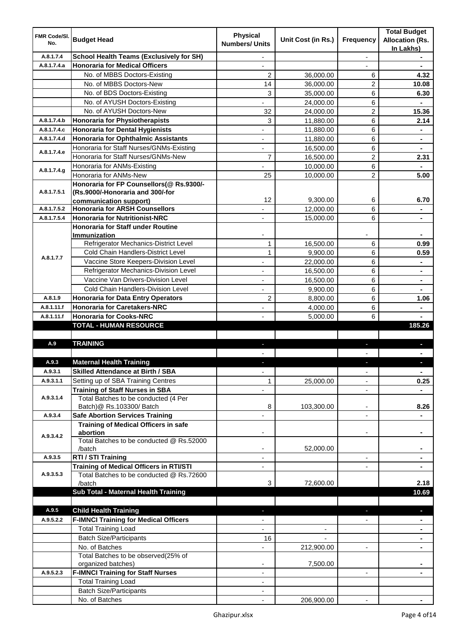| <b>FMR Code/SI.</b><br>No. | <b>Budget Head</b>                                                                    | <b>Physical</b><br><b>Numbers/ Units</b> | Unit Cost (in Rs.)       | Frequency                | <b>Total Budget</b><br><b>Allocation (Rs.</b><br>In Lakhs) |
|----------------------------|---------------------------------------------------------------------------------------|------------------------------------------|--------------------------|--------------------------|------------------------------------------------------------|
| A.8.1.7.4                  | <b>School Health Teams (Exclusively for SH)</b>                                       |                                          |                          | $\overline{a}$           |                                                            |
| A.8.1.7.4.a                | <b>Honoraria for Medical Officers</b>                                                 |                                          |                          |                          |                                                            |
|                            | No. of MBBS Doctors-Existing                                                          | $\overline{2}$                           | 36,000.00                | 6                        | 4.32                                                       |
|                            | No. of MBBS Doctors-New                                                               | 14                                       | 36,000.00                | 2                        | 10.08                                                      |
|                            | No. of BDS Doctors-Existing                                                           | 3                                        | 35,000.00                | 6                        | 6.30                                                       |
|                            | No. of AYUSH Doctors-Existing                                                         |                                          | 24,000.00                | 6                        |                                                            |
|                            | No. of AYUSH Doctors-New                                                              | 32                                       | 24,000.00                | 2                        | 15.36                                                      |
| A.8.1.7.4.b                | <b>Honoraria for Physiotherapists</b>                                                 | 3                                        | 11,880.00                | 6                        | 2.14                                                       |
| A.8.1.7.4.c                | <b>Honoraria for Dental Hygienists</b>                                                |                                          | 11,880.00                | 6                        |                                                            |
| A.8.1.7.4.d                | <b>Honoraria for Ophthalmic Assistants</b>                                            |                                          | 11,880.00                | 6                        | $\blacksquare$                                             |
|                            | Honoraria for Staff Nurses/GNMs-Existing                                              |                                          | 16,500.00                | 6                        |                                                            |
| A.8.1.7.4.e                | Honoraria for Staff Nurses/GNMs-New                                                   | $\overline{7}$                           | 16,500.00                | $\overline{2}$           | 2.31                                                       |
|                            | Honoraria for ANMs-Existing                                                           |                                          | 10,000.00                | 6                        |                                                            |
| A.8.1.7.4.g                | Honoraria for ANMs-New                                                                | 25                                       | 10,000.00                | $\overline{2}$           | 5.00                                                       |
|                            | Honoraria for FP Counsellors(@ Rs.9300/-                                              |                                          |                          |                          |                                                            |
| A.8.1.7.5.1                | (Rs.9000/-Honoraria and 300/-for                                                      |                                          |                          |                          |                                                            |
|                            | communication support)                                                                | 12                                       | 9,300.00                 | 6                        | 6.70                                                       |
| A.8.1.7.5.2                | <b>Honoraria for ARSH Counsellors</b>                                                 |                                          | 12,000.00                | 6                        | $\blacksquare$                                             |
| A.8.1.7.5.4                | <b>Honoraria for Nutritionist-NRC</b>                                                 | $\overline{\phantom{0}}$                 | 15,000.00                | 6                        | $\blacksquare$                                             |
|                            | <b>Honoraria for Staff under Routine</b>                                              |                                          |                          |                          |                                                            |
|                            | <b>Immunization</b>                                                                   |                                          |                          |                          |                                                            |
|                            | Refrigerator Mechanics-District Level                                                 | 1                                        | 16,500.00                | 6                        | 0.99                                                       |
| A.8.1.7.7                  | Cold Chain Handlers-District Level                                                    | $\mathbf{1}$                             | 9,900.00                 | 6                        | 0.59                                                       |
|                            | Vaccine Store Keepers-Division Level                                                  | ä,                                       | 22,000.00                | 6                        | $\blacksquare$                                             |
|                            | Refrigerator Mechanics-Division Level                                                 |                                          | 16,500.00                | 6                        | $\blacksquare$                                             |
|                            | Vaccine Van Drivers-Division Level                                                    | ÷,                                       | 16,500.00                | 6                        | ٠                                                          |
|                            | Cold Chain Handlers-Division Level                                                    |                                          | 9,900.00                 | 6                        |                                                            |
| A.8.1.9                    | <b>Honoraria for Data Entry Operators</b>                                             | $\overline{c}$                           | 8,800.00                 | 6                        | 1.06                                                       |
| A.8.1.11.f                 | <b>Honoraria for Caretakers-NRC</b>                                                   | ÷,                                       | 4,000.00                 | 6                        |                                                            |
| A.8.1.11.f                 | <b>Honoraria for Cooks-NRC</b>                                                        |                                          | 5,000.00                 | 6                        |                                                            |
|                            | <b>TOTAL - HUMAN RESOURCE</b>                                                         |                                          |                          |                          | 185.26                                                     |
|                            |                                                                                       |                                          |                          |                          |                                                            |
| A.9                        | <b>TRAINING</b>                                                                       | ٠                                        |                          | ٠                        | p                                                          |
|                            |                                                                                       |                                          |                          |                          |                                                            |
| A.9.3                      | <b>Maternal Health Training</b>                                                       |                                          |                          |                          |                                                            |
| A.9.3.1                    | <b>Skilled Attendance at Birth / SBA</b>                                              | ÷,                                       |                          | $\overline{\phantom{a}}$ | $\blacksquare$                                             |
| A.9.3.1.1                  | Setting up of SBA Training Centres                                                    | 1                                        | 25,000.00                | ٠                        | 0.25                                                       |
|                            | <b>Training of Staff Nurses in SBA</b>                                                | $\overline{\phantom{0}}$                 |                          | $\overline{\phantom{a}}$ |                                                            |
| A.9.3.1.4                  | Total Batches to be conducted (4 Per                                                  |                                          |                          |                          |                                                            |
|                            | Batch)@ Rs.103300/ Batch                                                              | 8                                        | 103,300.00               | ٠                        | 8.26                                                       |
| A.9.3.4                    | <b>Safe Abortion Services Training</b><br><b>Training of Medical Officers in safe</b> |                                          |                          |                          |                                                            |
|                            | abortion                                                                              |                                          |                          | -                        |                                                            |
| A.9.3.4.2                  | Total Batches to be conducted @ Rs.52000                                              |                                          |                          |                          |                                                            |
|                            | /batch                                                                                | $\overline{\phantom{a}}$                 | 52,000.00                |                          | $\blacksquare$                                             |
| A.9.3.5                    | RTI / STI Training                                                                    | $\blacksquare$                           |                          | ÷,                       | $\blacksquare$                                             |
|                            | <b>Training of Medical Officers in RTI/STI</b>                                        | $\overline{\phantom{a}}$                 |                          | L.                       | $\blacksquare$                                             |
| A.9.3.5.3                  | Total Batches to be conducted @ Rs.72600                                              |                                          |                          |                          |                                                            |
|                            | /batch                                                                                | 3                                        | 72,600.00                |                          | 2.18                                                       |
|                            | Sub Total - Maternal Health Training                                                  |                                          |                          |                          | 10.69                                                      |
|                            |                                                                                       |                                          |                          |                          |                                                            |
| A.9.5                      | <b>Child Health Training</b>                                                          |                                          |                          |                          | ٠                                                          |
| A.9.5.2.2                  | <b>F-IMNCI Training for Medical Officers</b>                                          |                                          |                          |                          |                                                            |
|                            | <b>Total Training Load</b>                                                            | $\overline{\phantom{0}}$                 | $\overline{\phantom{a}}$ |                          | $\blacksquare$                                             |
|                            | <b>Batch Size/Participants</b>                                                        | 16                                       |                          |                          | ٠                                                          |
|                            | No. of Batches                                                                        | $\overline{\phantom{0}}$                 | 212,900.00               | ۰                        | ٠                                                          |
|                            | Total Batches to be observed(25% of                                                   |                                          |                          |                          |                                                            |
|                            | organized batches)                                                                    |                                          | 7,500.00                 |                          |                                                            |
| A.9.5.2.3                  | <b>F-IMNCI Training for Staff Nurses</b>                                              | ٠                                        |                          | $\blacksquare$           |                                                            |
|                            | <b>Total Training Load</b>                                                            | ٠                                        |                          |                          |                                                            |
|                            | <b>Batch Size/Participants</b>                                                        |                                          |                          |                          |                                                            |
|                            | No. of Batches                                                                        |                                          | 206,900.00               |                          |                                                            |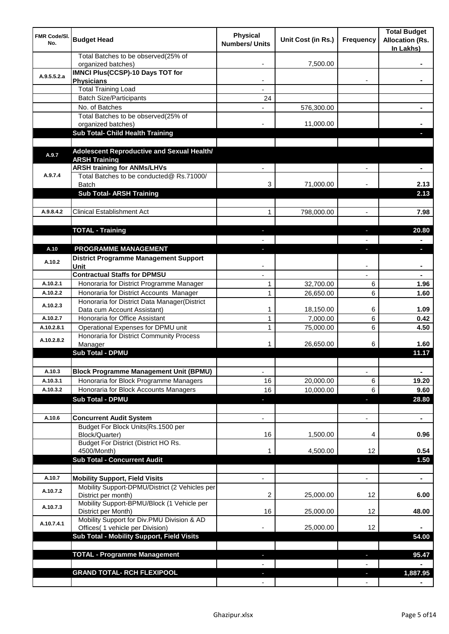| <b>FMR Code/SI.</b><br>No. | <b>Budget Head</b>                                                             | <b>Physical</b><br><b>Numbers/ Units</b> | Unit Cost (in Rs.) | Frequency                | <b>Total Budget</b><br><b>Allocation (Rs.</b><br>In Lakhs) |
|----------------------------|--------------------------------------------------------------------------------|------------------------------------------|--------------------|--------------------------|------------------------------------------------------------|
|                            | Total Batches to be observed(25% of<br>organized batches)                      |                                          | 7,500.00           |                          |                                                            |
| A.9.5.5.2.a                | <b>IMNCI Plus(CCSP)-10 Days TOT for</b>                                        |                                          |                    |                          |                                                            |
|                            | <b>Physicians</b>                                                              |                                          |                    |                          |                                                            |
|                            | <b>Total Training Load</b>                                                     |                                          |                    |                          |                                                            |
|                            | <b>Batch Size/Participants</b><br>No. of Batches                               | 24                                       |                    |                          |                                                            |
|                            | Total Batches to be observed(25% of                                            |                                          | 576,300.00         |                          |                                                            |
|                            | organized batches)                                                             |                                          | 11,000.00          |                          |                                                            |
|                            | Sub Total- Child Health Training                                               |                                          |                    |                          |                                                            |
|                            |                                                                                |                                          |                    |                          |                                                            |
| A.9.7                      | Adolescent Reproductive and Sexual Health/                                     |                                          |                    |                          |                                                            |
|                            | <b>ARSH Training</b>                                                           |                                          |                    |                          |                                                            |
|                            | <b>ARSH training for ANMs/LHVs</b>                                             |                                          |                    |                          |                                                            |
| A.9.7.4                    | Total Batches to be conducted@ Rs.71000/                                       |                                          |                    |                          |                                                            |
|                            | Batch<br><b>Sub Total- ARSH Training</b>                                       | 3                                        | 71,000.00          |                          | 2.13<br>2.13                                               |
|                            |                                                                                |                                          |                    |                          |                                                            |
| A.9.8.4.2                  | <b>Clinical Establishment Act</b>                                              | 1                                        | 798,000.00         | $\overline{a}$           | 7.98                                                       |
|                            |                                                                                |                                          |                    |                          |                                                            |
|                            | <b>TOTAL - Training</b>                                                        |                                          |                    |                          | 20.80                                                      |
|                            |                                                                                |                                          |                    |                          |                                                            |
| A.10                       | PROGRAMME MANAGEMENT                                                           |                                          |                    |                          | o.                                                         |
|                            | <b>District Programme Management Support</b>                                   |                                          |                    |                          |                                                            |
| A.10.2                     | Unit                                                                           |                                          |                    |                          |                                                            |
|                            | <b>Contractual Staffs for DPMSU</b>                                            |                                          |                    |                          |                                                            |
| A.10.2.1                   | Honoraria for District Programme Manager                                       | 1                                        | 32,700.00          | 6                        | 1.96                                                       |
| A.10.2.2                   | Honoraria for District Accounts Manager                                        | $\mathbf{1}$                             | 26,650.00          | 6                        | 1.60                                                       |
| A.10.2.3                   | Honoraria for District Data Manager(District                                   |                                          |                    |                          |                                                            |
|                            | Data cum Account Assistant)                                                    | 1                                        | 18,150.00          | 6                        | 1.09                                                       |
| A.10.2.7                   | Honoraria for Office Assistant                                                 | 1                                        | 7,000.00           | 6                        | 0.42                                                       |
| A.10.2.8.1                 | Operational Expenses for DPMU unit<br>Honoraria for District Community Process | 1                                        | 75,000.00          | 6                        | 4.50                                                       |
| A.10.2.8.2                 | Manager                                                                        | 1                                        | 26,650.00          | 6                        | 1.60                                                       |
|                            | <b>Sub Total - DPMU</b>                                                        |                                          |                    |                          | 11.17                                                      |
|                            |                                                                                |                                          |                    |                          |                                                            |
| A.10.3                     | <b>Block Programme Management Unit (BPMU)</b>                                  | $\overline{\phantom{a}}$                 |                    | $\overline{\phantom{a}}$ | ٠                                                          |
| A.10.3.1                   | Honoraria for Block Programme Managers                                         | 16                                       | 20,000.00          | 6                        | 19.20                                                      |
| A.10.3.2                   | Honoraria for Block Accounts Managers                                          | 16                                       | 10,000.00          | 6                        | 9.60                                                       |
|                            | <b>Sub Total - DPMU</b>                                                        | ٠                                        |                    | J,                       | 28.80                                                      |
|                            |                                                                                |                                          |                    |                          |                                                            |
| A.10.6                     | <b>Concurrent Audit System</b>                                                 |                                          |                    | $\overline{\phantom{0}}$ | $\blacksquare$                                             |
|                            | Budget For Block Units(Rs.1500 per                                             |                                          |                    |                          |                                                            |
|                            | Block/Quarter)                                                                 | 16                                       | 1,500.00           | 4                        | 0.96                                                       |
|                            | Budget For District (District HO Rs.<br>4500/Month)                            |                                          | 4,500.00           | 12                       | 0.54                                                       |
|                            | <b>Sub Total - Concurrent Audit</b>                                            |                                          |                    |                          | 1.50                                                       |
|                            |                                                                                |                                          |                    |                          |                                                            |
| A.10.7                     | <b>Mobility Support, Field Visits</b>                                          |                                          |                    | $\overline{a}$           | ä,                                                         |
|                            | Mobility Support-DPMU/District (2 Vehicles per                                 |                                          |                    |                          |                                                            |
| A.10.7.2                   | District per month)                                                            | 2                                        | 25,000.00          | 12                       | 6.00                                                       |
| A.10.7.3                   | Mobility Support-BPMU/Block (1 Vehicle per                                     |                                          |                    |                          |                                                            |
|                            | District per Month)                                                            | 16                                       | 25,000.00          | 12                       | 48.00                                                      |
| A.10.7.4.1                 | Mobility Support for Div.PMU Division & AD<br>Offices( 1 vehicle per Division) |                                          | 25,000.00          | 12                       |                                                            |
|                            | Sub Total - Mobility Support, Field Visits                                     |                                          |                    |                          | 54.00                                                      |
|                            |                                                                                |                                          |                    |                          |                                                            |
|                            | <b>TOTAL - Programme Management</b>                                            |                                          |                    | ı.                       | 95.47                                                      |
|                            |                                                                                |                                          |                    |                          |                                                            |
|                            | <b>GRAND TOTAL- RCH FLEXIPOOL</b>                                              |                                          |                    | a,                       | 1,887.95                                                   |
|                            |                                                                                |                                          |                    |                          |                                                            |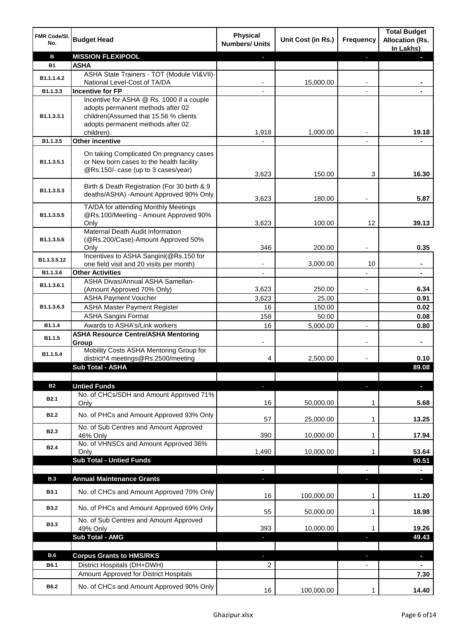| FMR Code/SI.<br>No. | <b>Budget Head</b>                                          | <b>Physical</b><br><b>Numbers/ Units</b> | Unit Cost (in Rs.) | Frequency | <b>Total Budget</b><br><b>Allocation (Rs.</b><br>In Lakhs) |
|---------------------|-------------------------------------------------------------|------------------------------------------|--------------------|-----------|------------------------------------------------------------|
| в                   | <b>MISSION FLEXIPOOL</b>                                    |                                          |                    |           |                                                            |
| <b>B1</b>           | <b>ASHA</b>                                                 |                                          |                    |           |                                                            |
| B1.1.1.4.2          | ASHA State Trainers - TOT (Module VI&VII)-                  |                                          |                    |           |                                                            |
|                     | National Level-Cost of TA/DA                                |                                          | 15,000.00          |           |                                                            |
| B1.1.3.3            | <b>Incentive for FP</b>                                     |                                          |                    |           |                                                            |
|                     | Incentive for ASHA @ Rs. 1000 if a couple                   |                                          |                    |           |                                                            |
|                     | adopts permanent methods after 02                           |                                          |                    |           |                                                            |
| B1.1.3.3.1          | children(Assumed that 15.56 % clients                       |                                          |                    |           |                                                            |
|                     | adopts permanent methods after 02<br>children).             | 1,918                                    | 1,000.00           |           | 19.18                                                      |
| B1.1.3.5            | <b>Other incentive</b>                                      |                                          |                    |           |                                                            |
|                     |                                                             |                                          |                    |           |                                                            |
|                     | On taking Complicated On pregnancy cases                    |                                          |                    |           |                                                            |
| B1.1.3.5.1          | or New born cases to the health facility                    |                                          |                    |           |                                                            |
|                     | @Rs.150/- case (up to 3 cases/year)                         | 3,623                                    | 150.00             | 3         | 16.30                                                      |
|                     | Birth & Death Registration (For 30 birth & 9                |                                          |                    |           |                                                            |
| B1.1.3.5.3          | deaths/ASHA) -Amount Approved 90% Only                      |                                          |                    |           |                                                            |
|                     | TA/DA for attending Monthly Meetings                        | 3,623                                    | 180.00             |           | 5.87                                                       |
| B1.1.3.5.5          | @Rs.100/Meeting - Amount Approved 90%                       |                                          |                    |           |                                                            |
|                     | Only                                                        | 3,623                                    | 100.00             | 12        | 39.13                                                      |
|                     | Maternal Death Audit Information                            |                                          |                    |           |                                                            |
| B1.1.3.5.6          | (@Rs.200/Case)-Amount Approved 50%                          |                                          |                    |           |                                                            |
|                     | Only                                                        | 346                                      | 200.00             |           | 0.35                                                       |
| B1.1.3.5.12         | Incentives to ASHA Sangini(@Rs.150 for                      |                                          |                    |           |                                                            |
|                     | one field visit and 20 visits per month)                    | ۰                                        | 3,000.00           | 10        | $\blacksquare$                                             |
| B1.1.3.6            | <b>Other Activities</b>                                     | $\overline{\phantom{a}}$                 |                    |           | $\blacksquare$                                             |
| B1.1.3.6.1          | ASHA Divas/Annual ASHA Samellan-                            |                                          |                    |           |                                                            |
|                     | (Amount Approved 70% Only)<br><b>ASHA Payment Voucher</b>   | 3,623<br>3,623                           | 250.00             |           | 6.34<br>0.91                                               |
|                     |                                                             |                                          | 25.00              |           |                                                            |
| B1.1.3.6.3          | <b>ASHA Master Payment Register</b>                         | 16                                       | 150.00             |           | 0.02                                                       |
| B <sub>1.1.4</sub>  | <b>ASHA Sangini Format</b><br>Awards to ASHA's/Link workers | 158<br>16                                | 50.00              |           | 0.08                                                       |
|                     | <b>ASHA Resource Centre/ASHA Mentoring</b>                  |                                          | 5,000.00           |           | 0.80                                                       |
| B1.1.5              | Group                                                       |                                          |                    |           |                                                            |
|                     | Mobility Costs ASHA Mentoring Group for                     |                                          |                    |           |                                                            |
| B1.1.5.4            | district*4 meetings@Rs.2500/meeting                         | 4                                        | 2,500.00           |           | 0.10                                                       |
|                     | <b>Sub Total - ASHA</b>                                     |                                          |                    |           | 89.08                                                      |
|                     |                                                             |                                          |                    |           |                                                            |
| <b>B2</b>           | <b>Untied Funds</b>                                         | J                                        |                    |           | $\blacksquare$                                             |
| B <sub>2.1</sub>    | No. of CHCs/SDH and Amount Approved 71%                     |                                          |                    |           |                                                            |
|                     | Only                                                        | 16                                       | 50,000.00          | 1         | 5.68                                                       |
| <b>B2.2</b>         | No. of PHCs and Amount Approved 93% Only                    |                                          |                    |           |                                                            |
|                     | No. of Sub Centres and Amount Approved                      | 57                                       | 25,000.00          | 1         | 13.25                                                      |
| <b>B2.3</b>         | 46% Only                                                    | 390                                      | 10,000.00          | 1         | 17.94                                                      |
|                     | No. of VHNSCs and Amount Approved 36%                       |                                          |                    |           |                                                            |
| <b>B2.4</b>         | Only                                                        | 1,490                                    | 10,000.00          | 1         | 53.64                                                      |
|                     | <b>Sub Total - Untied Funds</b>                             |                                          |                    |           | 90.51                                                      |
|                     |                                                             |                                          |                    |           |                                                            |
| <b>B.3</b>          | <b>Annual Maintenance Grants</b>                            | E.                                       |                    | r.        | D.                                                         |
| <b>B3.1</b>         | No. of CHCs and Amount Approved 70% Only                    |                                          |                    |           |                                                            |
|                     |                                                             | 16                                       | 100,000.00         | 1         | 11.20                                                      |
| <b>B3.2</b>         | No. of PHCs and Amount Approved 69% Only                    |                                          |                    |           |                                                            |
|                     |                                                             | 55                                       | 50,000.00          | 1         | 18.98                                                      |
| <b>B3.3</b>         | No. of Sub Centres and Amount Approved<br>49% Only          | 393                                      | 10,000.00          | 1         | 19.26                                                      |
|                     | <b>Sub Total - AMG</b>                                      | E.                                       |                    | a,        | 49.43                                                      |
|                     |                                                             |                                          |                    |           |                                                            |
| <b>B.6</b>          | <b>Corpus Grants to HMS/RKS</b>                             |                                          |                    |           | $\blacksquare$                                             |
| B6.1                | District Hospitals (DH+DWH)                                 | 2                                        |                    |           |                                                            |
|                     | Amount Approved for District Hospitals                      |                                          |                    |           | 7.30                                                       |
|                     |                                                             |                                          |                    |           |                                                            |
| B6.2                | No. of CHCs and Amount Approved 90% Only                    | 16                                       | 100,000.00         | 1         | 14.40                                                      |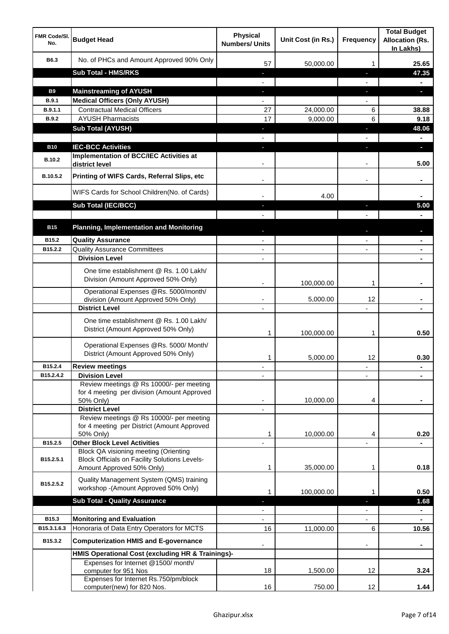| <b>FMR Code/SI.</b><br>No.  | <b>Budget Head</b>                                                                                   | <b>Physical</b><br><b>Numbers/ Units</b> | Unit Cost (in Rs.) | <b>Frequency</b>  | <b>Total Budget</b><br><b>Allocation (Rs.</b><br>In Lakhs) |
|-----------------------------|------------------------------------------------------------------------------------------------------|------------------------------------------|--------------------|-------------------|------------------------------------------------------------|
| B6.3                        | No. of PHCs and Amount Approved 90% Only                                                             | 57                                       | 50,000.00          | 1                 | 25.65                                                      |
|                             | <b>Sub Total - HMS/RKS</b>                                                                           | ٠                                        |                    | J,                | 47.35                                                      |
|                             |                                                                                                      |                                          |                    |                   |                                                            |
| <b>B9</b>                   | <b>Mainstreaming of AYUSH</b>                                                                        | J,                                       |                    | T                 | o.                                                         |
| B.9.1                       | <b>Medical Officers (Only AYUSH)</b>                                                                 |                                          |                    |                   |                                                            |
| B.9.1.1                     | <b>Contractual Medical Officers</b>                                                                  | 27                                       | 24,000.00          | 6                 | 38.88                                                      |
| <b>B.9.2</b>                | <b>AYUSH Pharmacists</b>                                                                             | 17                                       | 9,000.00           | 6                 | 9.18                                                       |
|                             | <b>Sub Total (AYUSH)</b>                                                                             | ٠                                        |                    | J,                | 48.06                                                      |
|                             |                                                                                                      |                                          |                    |                   |                                                            |
| <b>B10</b><br><b>B.10.2</b> | <b>IEC-BCC Activities</b><br><b>Implementation of BCC/IEC Activities at</b><br>district level        |                                          |                    | ı.                | н<br>5.00                                                  |
| B.10.5.2                    | Printing of WIFS Cards, Referral Slips, etc                                                          |                                          |                    | $\blacksquare$    |                                                            |
|                             | WIFS Cards for School Children(No. of Cards)                                                         |                                          | 4.00               |                   |                                                            |
|                             | Sub Total (IEC/BCC)                                                                                  |                                          |                    | ı                 | 5.00                                                       |
|                             |                                                                                                      |                                          |                    |                   |                                                            |
| <b>B15</b>                  | <b>Planning, Implementation and Monitoring</b>                                                       |                                          |                    |                   |                                                            |
| B15.2                       | <b>Quality Assurance</b>                                                                             |                                          |                    |                   |                                                            |
| B15.2.2                     | <b>Quality Assurance Committees</b>                                                                  | $\overline{\phantom{a}}$                 |                    |                   |                                                            |
|                             | <b>Division Level</b>                                                                                | $\blacksquare$                           |                    |                   | $\blacksquare$                                             |
|                             | One time establishment @ Rs. 1.00 Lakh/<br>Division (Amount Approved 50% Only)                       |                                          | 100,000.00         | 1                 |                                                            |
|                             | Operational Expenses @Rs. 5000/month/<br>division (Amount Approved 50% Only)                         | $\overline{\phantom{a}}$                 | 5,000.00           | 12                |                                                            |
|                             | <b>District Level</b>                                                                                | $\overline{\phantom{a}}$                 |                    |                   |                                                            |
|                             | One time establishment @ Rs. 1.00 Lakh/<br>District (Amount Approved 50% Only)                       | 1                                        | 100,000.00         | 1                 | 0.50                                                       |
|                             | Operational Expenses @Rs. 5000/ Month/<br>District (Amount Approved 50% Only)                        | 1                                        | 5,000.00           | 12                | 0.30                                                       |
| B15.2.4                     | <b>Review meetings</b>                                                                               | ٠                                        |                    | ٠                 |                                                            |
| B15.2.4.2                   | <b>Division Level</b>                                                                                |                                          |                    |                   |                                                            |
|                             | Review meetings @ Rs 10000/- per meeting<br>for 4 meeting per division (Amount Approved<br>50% Only) |                                          | 10,000.00          | 4                 |                                                            |
|                             | <b>District Level</b><br>Review meetings @ Rs 10000/- per meeting                                    |                                          |                    |                   |                                                            |
|                             | for 4 meeting per District (Amount Approved                                                          |                                          |                    |                   |                                                            |
|                             | 50% Only)                                                                                            | 1                                        | 10,000.00          | 4                 | 0.20                                                       |
| B15.2.5                     | <b>Other Block Level Activities</b>                                                                  |                                          |                    |                   |                                                            |
| B15.2.5.1                   | Block QA visioning meeting (Orienting<br><b>Block Officials on Facility Solutions Levels-</b>        |                                          |                    |                   |                                                            |
|                             | Amount Approved 50% Only)                                                                            | 1                                        | 35,000.00          | 1                 | 0.18                                                       |
| B15.2.5.2                   | Quality Management System (QMS) training<br>workshop -(Amount Approved 50% Only)                     | 1                                        | 100,000.00         | 1                 | 0.50                                                       |
|                             | <b>Sub Total - Quality Assurance</b>                                                                 |                                          |                    |                   | 1.68                                                       |
|                             |                                                                                                      |                                          |                    |                   |                                                            |
| B15.3                       | <b>Monitoring and Evaluation</b>                                                                     |                                          |                    |                   |                                                            |
| B15.3.1.6.3                 | Honoraria of Data Entry Operators for MCTS                                                           | 16                                       | 11,000.00          | 6                 | 10.56                                                      |
| B15.3.2                     | <b>Computerization HMIS and E-governance</b>                                                         |                                          |                    |                   |                                                            |
|                             | HMIS Operational Cost (excluding HR & Trainings)-                                                    |                                          |                    |                   |                                                            |
|                             | Expenses for Internet @1500/month/<br>computer for 951 Nos                                           | 18                                       | 1,500.00           | 12                | 3.24                                                       |
|                             | Expenses for Internet Rs.750/pm/block<br>computer(new) for 820 Nos.                                  | 16                                       | 750.00             | $12 \overline{ }$ | 1.44                                                       |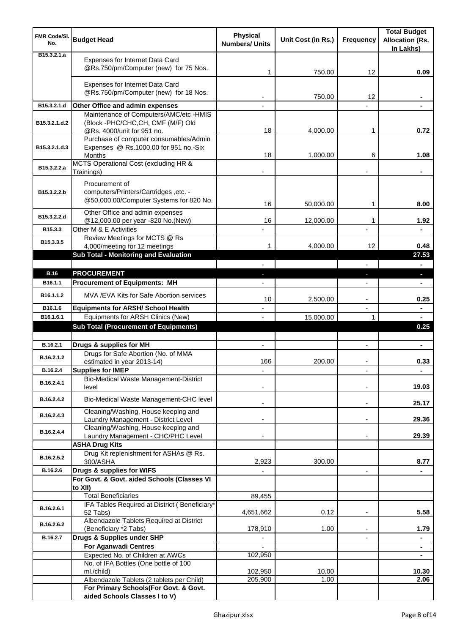| <b>FMR Code/SI.</b><br>No.   | <b>Budget Head</b>                                                                                        | <b>Physical</b><br><b>Numbers/ Units</b> | Unit Cost (in Rs.) | <b>Frequency</b>         | <b>Total Budget</b><br><b>Allocation (Rs.</b><br>In Lakhs) |
|------------------------------|-----------------------------------------------------------------------------------------------------------|------------------------------------------|--------------------|--------------------------|------------------------------------------------------------|
| B <sub>15</sub> , 3, 2, 1, a | Expenses for Internet Data Card<br>@Rs.750/pm/Computer (new) for 75 Nos.                                  | 1                                        | 750.00             | 12                       | 0.09                                                       |
|                              | Expenses for Internet Data Card<br>@Rs.750/pm/Computer (new) for 18 Nos.                                  |                                          | 750.00             | 12                       |                                                            |
| B15.3.2.1.d                  | Other Office and admin expenses                                                                           |                                          |                    |                          |                                                            |
| B15.3.2.1.d.2                | Maintenance of Computers/AMC/etc -HMIS<br>(Block -PHC/CHC,CH, CMF (M/F) Old<br>@Rs. 4000/unit for 951 no. | 18                                       | 4,000.00           | 1                        | 0.72                                                       |
| B15.3.2.1.d.3                | Purchase of computer consumables/Admin<br>Expenses @ Rs.1000.00 for 951 no.-Six<br>Months                 | 18                                       | 1,000.00           | 6                        | 1.08                                                       |
| B15.3.2.2.a                  | MCTS Operational Cost (excluding HR &<br>Trainings)                                                       |                                          |                    |                          |                                                            |
| B15.3.2.2.b                  | Procurement of<br>computers/Printers/Cartridges ,etc. -<br>@50,000.00/Computer Systems for 820 No.        | 16                                       | 50,000.00          | 1                        | 8.00                                                       |
| B15.3.2.2.d                  | Other Office and admin expenses<br>@12,000.00 per year -820 No.(New)                                      | 16                                       | 12,000.00          | 1                        | 1.92                                                       |
| B15.3.3                      | Other M & E Activities<br>Review Meetings for MCTS @ Rs                                                   |                                          |                    |                          |                                                            |
| B15.3.3.5                    | 4,000/meeting for 12 meetings<br>Sub Total - Monitoring and Evaluation                                    | 1                                        | 4,000.00           | 12                       | 0.48<br>27.53                                              |
|                              |                                                                                                           |                                          |                    |                          |                                                            |
| <b>B.16</b>                  | <b>PROCUREMENT</b>                                                                                        |                                          |                    | J,                       | ٠                                                          |
| B <sub>16.1.1</sub>          | <b>Procurement of Equipments: MH</b>                                                                      |                                          |                    |                          |                                                            |
| B16.1.1.2                    | MVA / EVA Kits for Safe Abortion services                                                                 | 10                                       | 2,500.00           | $\overline{a}$           | 0.25                                                       |
| B16.1.6                      | <b>Equipments for ARSH/ School Health</b>                                                                 |                                          |                    | $\overline{\phantom{a}}$ | ۰                                                          |
| B16.1.6.1                    | Equipments for ARSH Clinics (New)<br><b>Sub Total (Procurement of Equipments)</b>                         |                                          | 15,000.00          | 1                        | $\blacksquare$<br>0.25                                     |
|                              |                                                                                                           |                                          |                    |                          |                                                            |
| B.16.2.1                     | Drugs & supplies for MH                                                                                   | $\blacksquare$                           |                    | $\blacksquare$           | $\blacksquare$                                             |
| B.16.2.1.2                   | Drugs for Safe Abortion (No. of MMA<br>estimated in year 2013-14)                                         | 166                                      | 200.00             |                          | 0.33                                                       |
| B.16.2.4                     | <b>Supplies for IMEP</b>                                                                                  |                                          |                    |                          | ÷                                                          |
| B.16.2.4.1                   | Bio-Medical Waste Management-District<br>level                                                            |                                          |                    |                          | 19.03                                                      |
| B.16.2.4.2                   | Bio-Medical Waste Management-CHC level<br>Cleaning/Washing, House keeping and                             |                                          |                    | $\overline{\phantom{a}}$ | 25.17                                                      |
| B.16.2.4.3                   | Laundry Management - District Level<br>Cleaning/Washing, House keeping and                                |                                          |                    | $\blacksquare$           | 29.36                                                      |
| B.16.2.4.4                   | Laundry Management - CHC/PHC Level<br><b>ASHA Drug Kits</b>                                               |                                          |                    |                          | 29.39                                                      |
| B.16.2.5.2                   | Drug Kit replenishment for ASHAs @ Rs.<br>300/ASHA                                                        | 2,923                                    | 300.00             |                          | 8.77                                                       |
| B.16.2.6                     | Drugs & supplies for WIFS                                                                                 |                                          |                    | $\overline{\phantom{a}}$ |                                                            |
|                              | For Govt. & Govt. aided Schools (Classes VI                                                               |                                          |                    |                          |                                                            |
|                              | to XII)<br><b>Total Beneficiaries</b>                                                                     | 89,455                                   |                    |                          |                                                            |
|                              | IFA Tables Required at District (Beneficiary*                                                             |                                          |                    |                          |                                                            |
| B.16.2.6.1                   | 52 Tabs)<br>Albendazole Tablets Required at District                                                      | 4,651,662                                | 0.12               | ٠                        | 5.58                                                       |
| B.16.2.6.2                   | (Beneficiary *2 Tabs)                                                                                     | 178,910                                  | 1.00               |                          | 1.79                                                       |
| B.16.2.7                     | Drugs & Supplies under SHP                                                                                |                                          |                    |                          | ۰                                                          |
|                              | <b>For Aganwadi Centres</b><br>Expected No. of Children at AWCs                                           | 102,950                                  |                    |                          | $\blacksquare$<br>۰                                        |
|                              | No. of IFA Bottles (One bottle of 100                                                                     |                                          |                    |                          |                                                            |
|                              | ml./child)                                                                                                | 102,950                                  | 10.00              |                          | 10.30                                                      |
|                              | Albendazole Tablets (2 tablets per Child)                                                                 | 205,900                                  | 1.00               |                          | 2.06                                                       |
|                              | For Primary Schools(For Govt. & Govt.<br>aided Schools Classes I to V)                                    |                                          |                    |                          |                                                            |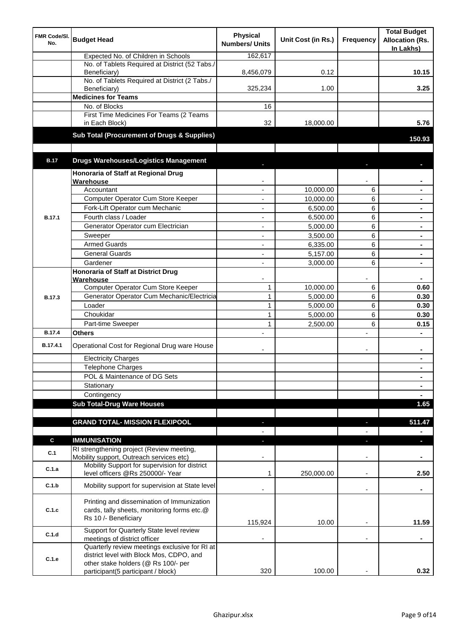| FMR Code/SI.<br>No. | <b>Budget Head</b>                                                                                                        | <b>Physical</b><br><b>Numbers/ Units</b> | Unit Cost (in Rs.) | Frequency                | <b>Total Budget</b><br><b>Allocation (Rs.</b><br>In Lakhs) |
|---------------------|---------------------------------------------------------------------------------------------------------------------------|------------------------------------------|--------------------|--------------------------|------------------------------------------------------------|
|                     | Expected No. of Children in Schools                                                                                       | 162,617                                  |                    |                          |                                                            |
|                     | No. of Tablets Required at District (52 Tabs./<br>Beneficiary)                                                            | 8,456,079                                | 0.12               |                          | 10.15                                                      |
|                     | No. of Tablets Required at District (2 Tabs./<br>Beneficiary)                                                             | 325,234                                  | 1.00               |                          | 3.25                                                       |
|                     | <b>Medicines for Teams</b>                                                                                                |                                          |                    |                          |                                                            |
|                     | No. of Blocks                                                                                                             | 16                                       |                    |                          |                                                            |
|                     | First Time Medicines For Teams (2 Teams<br>in Each Block)                                                                 | 32                                       | 18,000.00          |                          | 5.76                                                       |
|                     | Sub Total (Procurement of Drugs & Supplies)                                                                               |                                          |                    |                          | 150.93                                                     |
| <b>B.17</b>         | <b>Drugs Warehouses/Logistics Management</b>                                                                              |                                          |                    |                          |                                                            |
|                     | Honoraria of Staff at Regional Drug                                                                                       |                                          |                    |                          |                                                            |
|                     | Warehouse                                                                                                                 |                                          |                    |                          |                                                            |
|                     | Accountant                                                                                                                |                                          | 10,000.00          | 6                        |                                                            |
|                     | Computer Operator Cum Store Keeper                                                                                        |                                          | 10,000.00          | 6                        |                                                            |
|                     | Fork-Lift Operator cum Mechanic                                                                                           |                                          | 6,500.00           | 6                        |                                                            |
| <b>B.17.1</b>       | Fourth class / Loader                                                                                                     |                                          | 6,500.00           | 6                        |                                                            |
|                     | Generator Operator cum Electrician                                                                                        | ٠                                        | 5,000.00           | 6                        |                                                            |
|                     | Sweeper                                                                                                                   | ٠                                        | 3,500.00           | 6                        | $\blacksquare$                                             |
|                     | <b>Armed Guards</b>                                                                                                       | $\blacksquare$                           | 6,335.00           | 6                        | $\blacksquare$                                             |
|                     | <b>General Guards</b>                                                                                                     | ÷,                                       | 5,157.00           | 6                        |                                                            |
|                     | Gardener                                                                                                                  | ÷,                                       | 3,000.00           | 6                        | $\blacksquare$                                             |
|                     | Honoraria of Staff at District Drug                                                                                       |                                          |                    |                          |                                                            |
|                     | Warehouse<br>Computer Operator Cum Store Keeper                                                                           | $\mathbf{1}$                             | 10,000.00          | 6                        | 0.60                                                       |
| <b>B.17.3</b>       | Generator Operator Cum Mechanic/Electricia                                                                                | $\mathbf{1}$                             | 5,000.00           | 6                        | 0.30                                                       |
|                     | Loader                                                                                                                    | $\mathbf{1}$                             | 5,000.00           | 6                        | 0.30                                                       |
|                     | Choukidar                                                                                                                 | $\mathbf{1}$                             | 5,000.00           | 6                        | 0.30                                                       |
|                     | Part-time Sweeper                                                                                                         | $\mathbf{1}$                             | 2,500.00           | 6                        | 0.15                                                       |
| <b>B.17.4</b>       | <b>Others</b>                                                                                                             |                                          |                    | L.                       |                                                            |
| B.17.4.1            | Operational Cost for Regional Drug ware House                                                                             |                                          |                    | ۰                        | ٠                                                          |
|                     | <b>Electricity Charges</b>                                                                                                |                                          |                    |                          | $\blacksquare$                                             |
|                     | Telephone Charges                                                                                                         |                                          |                    |                          | $\blacksquare$                                             |
|                     | POL & Maintenance of DG Sets                                                                                              |                                          |                    |                          | $\blacksquare$                                             |
|                     | Stationary                                                                                                                |                                          |                    |                          | $\blacksquare$                                             |
|                     | Contingency                                                                                                               |                                          |                    |                          | $\blacksquare$                                             |
|                     | <b>Sub Total-Drug Ware Houses</b>                                                                                         |                                          |                    |                          | 1.65                                                       |
|                     |                                                                                                                           |                                          |                    |                          |                                                            |
|                     | <b>GRAND TOTAL- MISSION FLEXIPOOL</b>                                                                                     | E.                                       |                    |                          | 511.47                                                     |
| C                   | <b>IMMUNISATION</b>                                                                                                       |                                          |                    |                          | $\blacksquare$<br>н                                        |
| C.1                 | RI strengthening project (Review meeting,<br>Mobility support, Outreach services etc)                                     |                                          |                    |                          |                                                            |
| C.1.a               | Mobility Support for supervision for district<br>level officers @Rs 250000/- Year                                         | 1                                        | 250,000.00         |                          | 2.50                                                       |
| C.1.b               | Mobility support for supervision at State level                                                                           |                                          |                    | $\overline{\phantom{a}}$ | ٠                                                          |
| C.1.c               | Printing and dissemination of Immunization<br>cards, tally sheets, monitoring forms etc.@<br>Rs 10 /- Beneficiary         | 115,924                                  | 10.00              |                          | 11.59                                                      |
| C.1.d               | Support for Quarterly State level review                                                                                  |                                          |                    |                          |                                                            |
|                     | meetings of district officer<br>Quarterly review meetings exclusive for RI at<br>district level with Block Mos, CDPO, and |                                          |                    |                          |                                                            |
| C.1.e               | other stake holders (@ Rs 100/- per                                                                                       |                                          |                    |                          |                                                            |
|                     | participant(5 participant / block)                                                                                        | 320                                      | 100.00             |                          | 0.32                                                       |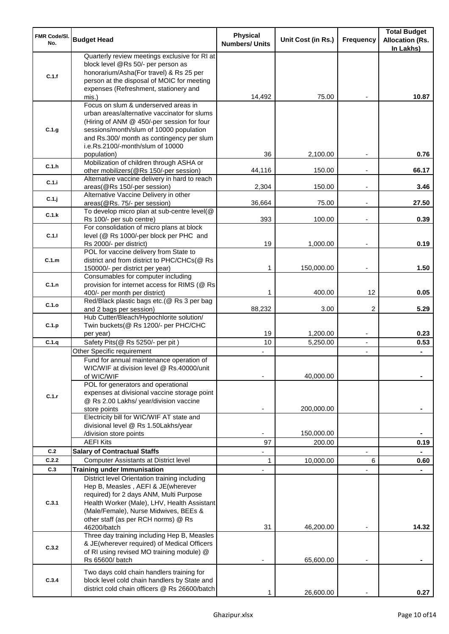| <b>FMR Code/SI.</b><br>No. | <b>Budget Head</b>                                                                                                                                                                                                                                             | <b>Physical</b><br><b>Numbers/ Units</b> | Unit Cost (in Rs.) | <b>Frequency</b>         | <b>Total Budget</b><br><b>Allocation (Rs.</b><br>In Lakhs) |
|----------------------------|----------------------------------------------------------------------------------------------------------------------------------------------------------------------------------------------------------------------------------------------------------------|------------------------------------------|--------------------|--------------------------|------------------------------------------------------------|
| C.1.f                      | Quarterly review meetings exclusive for RI at<br>block level @Rs 50/- per person as<br>honorarium/Asha(For travel) & Rs 25 per<br>person at the disposal of MOIC for meeting<br>expenses (Refreshment, stationery and                                          |                                          |                    |                          |                                                            |
|                            | mis.)                                                                                                                                                                                                                                                          | 14,492                                   | 75.00              |                          | 10.87                                                      |
| C.1.g                      | Focus on slum & underserved areas in<br>urban areas/alternative vaccinator for slums<br>(Hiring of ANM @ 450/-per session for four<br>sessions/month/slum of 10000 population<br>and Rs.300/ month as contingency per slum<br>i.e.Rs.2100/-month/slum of 10000 |                                          |                    |                          |                                                            |
| C.1.h                      | population)<br>Mobilization of children through ASHA or                                                                                                                                                                                                        | 36                                       | 2,100.00           |                          | 0.76                                                       |
| C.1.i                      | other mobilizers(@Rs 150/-per session)<br>Alternative vaccine delivery in hard to reach                                                                                                                                                                        | 44,116                                   | 150.00             |                          | 66.17                                                      |
| C.1.j                      | areas(@Rs 150/-per session)<br>Alternative Vaccine Delivery in other                                                                                                                                                                                           | 2,304                                    | 150.00             | $\overline{\phantom{a}}$ | 3.46                                                       |
| C.1.k                      | areas(@Rs. 75/- per session)<br>To develop micro plan at sub-centre level(@                                                                                                                                                                                    | 36,664                                   | 75.00              | $\blacksquare$           | 27.50                                                      |
| C.1.1                      | Rs 100/- per sub centre)<br>For consolidation of micro plans at block<br>level (@ Rs 1000/-per block per PHC and                                                                                                                                               | 393                                      | 100.00             |                          | 0.39                                                       |
|                            | Rs 2000/- per district)                                                                                                                                                                                                                                        | 19                                       | 1,000.00           |                          | 0.19                                                       |
| C.1.m                      | POL for vaccine delivery from State to<br>district and from district to PHC/CHCs(@ Rs<br>150000/- per district per year)                                                                                                                                       | 1                                        | 150,000.00         | $\overline{\phantom{a}}$ | 1.50                                                       |
| C.1.n                      | Consumables for computer including<br>provision for internet access for RIMS (@ Rs<br>400/- per month per district)                                                                                                                                            | 1                                        | 400.00             | 12                       | 0.05                                                       |
| C.1.o                      | Red/Black plastic bags etc.(@ Rs 3 per bag<br>and 2 bags per session)                                                                                                                                                                                          | 88,232                                   | 3.00               | 2                        | 5.29                                                       |
| C.1.p                      | Hub Cutter/Bleach/Hypochlorite solution/<br>Twin buckets(@ Rs 1200/- per PHC/CHC                                                                                                                                                                               | 19                                       | 1,200.00           | $\overline{\phantom{a}}$ | 0.23                                                       |
| C.1.q                      | per year)<br>Safety Pits(@ Rs 5250/- per pit)                                                                                                                                                                                                                  | 10                                       | 5,250.00           | $\blacksquare$           | 0.53                                                       |
|                            | Other Specific requirement                                                                                                                                                                                                                                     |                                          |                    | $\blacksquare$           |                                                            |
|                            | Fund for annual maintenance operation of<br>WIC/WIF at division level @ Rs.40000/unit<br>of WIC/WIF<br>POL for generators and operational                                                                                                                      |                                          | 40,000.00          |                          |                                                            |
| C.1.r                      | expenses at divisional vaccine storage point<br>@ Rs 2.00 Lakhs/ year/division vaccine<br>store points                                                                                                                                                         |                                          | 200,000.00         |                          |                                                            |
|                            | Electricity bill for WIC/WIF AT state and<br>divisional level @ Rs 1.50Lakhs/year                                                                                                                                                                              |                                          |                    |                          |                                                            |
|                            | /division store points                                                                                                                                                                                                                                         |                                          | 150,000.00         |                          |                                                            |
|                            | <b>AEFI Kits</b>                                                                                                                                                                                                                                               | 97                                       | 200.00             |                          | 0.19                                                       |
| C.2<br>C.2.2               | <b>Salary of Contractual Staffs</b>                                                                                                                                                                                                                            |                                          |                    |                          |                                                            |
| C.3                        | <b>Computer Assistants at District level</b><br><b>Training under Immunisation</b>                                                                                                                                                                             | 1                                        | 10,000.00          | 6                        | 0.60                                                       |
|                            | District level Orientation training including                                                                                                                                                                                                                  |                                          |                    |                          |                                                            |
| C.3.1                      | Hep B, Measles, AEFI & JE(wherever<br>required) for 2 days ANM, Multi Purpose<br>Health Worker (Male), LHV, Health Assistant<br>(Male/Female), Nurse Midwives, BEEs &<br>other staff (as per RCH norms) @ Rs<br>46200/batch                                    | 31                                       | 46,200.00          |                          | 14.32                                                      |
| C.3.2                      | Three day training including Hep B, Measles<br>& JE(wherever required) of Medical Officers<br>of RI using revised MO training module) @<br>Rs 65600/ batch                                                                                                     |                                          | 65,600.00          |                          |                                                            |
| C.3.4                      | Two days cold chain handlers training for<br>block level cold chain handlers by State and<br>district cold chain officers @ Rs 26600/batch                                                                                                                     |                                          | 26,600.00          |                          | 0.27                                                       |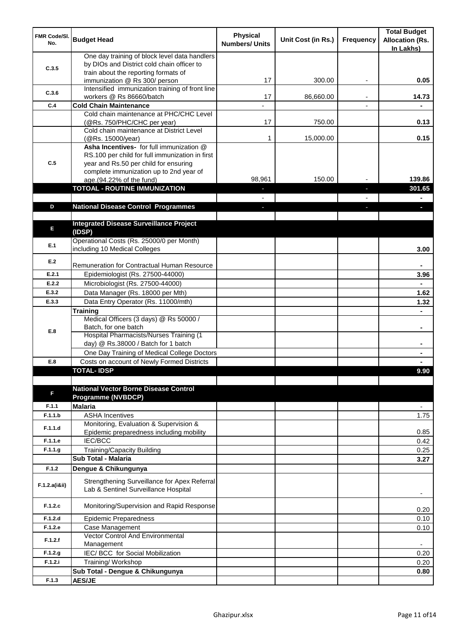| <b>FMR Code/SI.</b><br>No. | <b>Budget Head</b>                                                                                                                                                              | <b>Physical</b><br><b>Numbers/ Units</b> | Unit Cost (in Rs.) | Frequency | <b>Total Budget</b><br><b>Allocation (Rs.</b><br>In Lakhs) |
|----------------------------|---------------------------------------------------------------------------------------------------------------------------------------------------------------------------------|------------------------------------------|--------------------|-----------|------------------------------------------------------------|
| C.3.5                      | One day training of block level data handlers<br>by DIOs and District cold chain officer to                                                                                     |                                          |                    |           |                                                            |
|                            | train about the reporting formats of<br>immunization @ Rs 300/ person                                                                                                           | 17                                       | 300.00             | ٠         | 0.05                                                       |
| C.3.6                      | Intensified immunization training of front line<br>workers @ Rs 86660/batch                                                                                                     | 17                                       | 86,660.00          |           | 14.73                                                      |
| C.4                        | <b>Cold Chain Maintenance</b>                                                                                                                                                   |                                          |                    |           |                                                            |
|                            | Cold chain maintenance at PHC/CHC Level<br>(@Rs. 750/PHC/CHC per year)                                                                                                          | 17                                       | 750.00             |           | 0.13                                                       |
|                            | Cold chain maintenance at District Level<br>(@Rs. 15000/year)                                                                                                                   | 1                                        | 15,000.00          |           | 0.15                                                       |
| C.5                        | Asha Incentives- for full immunization @<br>RS.100 per child for full immunization in first<br>year and Rs.50 per child for ensuring<br>complete immunization up to 2nd year of |                                          |                    |           |                                                            |
|                            | age.(94.22% of the fund)                                                                                                                                                        | 98,961                                   | 150.00             |           | 139.86                                                     |
|                            | <b>TOTOAL - ROUTINE IMMUNIZATION</b>                                                                                                                                            |                                          |                    |           | 301.65                                                     |
|                            |                                                                                                                                                                                 |                                          |                    |           |                                                            |
| D                          | <b>National Disease Control Programmes</b>                                                                                                                                      |                                          |                    |           |                                                            |
|                            |                                                                                                                                                                                 |                                          |                    |           |                                                            |
| E                          | <b>Integrated Disease Surveillance Project</b><br>(IDSP)                                                                                                                        |                                          |                    |           |                                                            |
| E.1                        | Operational Costs (Rs. 25000/0 per Month)<br>including 10 Medical Colleges                                                                                                      |                                          |                    |           | 3.00                                                       |
| E.2                        | Remuneration for Contractual Human Resource                                                                                                                                     |                                          |                    |           |                                                            |
| E.2.1                      | Epidemiologist (Rs. 27500-44000)                                                                                                                                                |                                          |                    |           | 3.96                                                       |
| E.2.2                      | Microbiologist (Rs. 27500-44000)                                                                                                                                                |                                          |                    |           |                                                            |
| E.3.2                      | Data Manager (Rs. 18000 per Mth)                                                                                                                                                |                                          |                    |           | 1.62                                                       |
| E.3.3                      | Data Entry Operator (Rs. 11000/mth)                                                                                                                                             |                                          |                    |           | 1.32                                                       |
|                            | <b>Training</b>                                                                                                                                                                 |                                          |                    |           |                                                            |
| E.8                        | Medical Officers (3 days) @ Rs 50000 /<br>Batch, for one batch                                                                                                                  |                                          |                    |           | $\blacksquare$                                             |
|                            | Hospital Pharmacists/Nurses Training (1<br>day) @ Rs.38000 / Batch for 1 batch                                                                                                  |                                          |                    |           |                                                            |
|                            | One Day Training of Medical College Doctors                                                                                                                                     |                                          |                    |           |                                                            |
| E.8                        | Costs on account of Newly Formed Districts                                                                                                                                      |                                          |                    |           |                                                            |
|                            | <b>TOTAL-IDSP</b>                                                                                                                                                               |                                          |                    |           | 9.90                                                       |
| F                          | <b>National Vector Borne Disease Control</b><br><b>Programme (NVBDCP)</b>                                                                                                       |                                          |                    |           |                                                            |
| F.1.1                      | <b>Malaria</b>                                                                                                                                                                  |                                          |                    |           | $\overline{\phantom{a}}$                                   |
| F.1.1.b                    | <b>ASHA Incentives</b>                                                                                                                                                          |                                          |                    |           | 1.75                                                       |
| F.1.1.d                    | Monitoring, Evaluation & Supervision &<br>Epidemic preparedness including mobility                                                                                              |                                          |                    |           | 0.85                                                       |
| F.1.1.e                    | IEC/BCC                                                                                                                                                                         |                                          |                    |           | 0.42                                                       |
| F.1.1.g                    | Training/Capacity Building                                                                                                                                                      |                                          |                    |           | 0.25                                                       |
|                            | Sub Total - Malaria                                                                                                                                                             |                                          |                    |           | 3.27                                                       |
| F.1.2                      | Dengue & Chikungunya                                                                                                                                                            |                                          |                    |           |                                                            |
| F.1.2.a(iⅈ)                | Strengthening Surveillance for Apex Referral<br>Lab & Sentinel Surveillance Hospital                                                                                            |                                          |                    |           |                                                            |
| F.1.2.c                    | Monitoring/Supervision and Rapid Response                                                                                                                                       |                                          |                    |           | 0.20                                                       |
| F.1.2.d                    | <b>Epidemic Preparedness</b>                                                                                                                                                    |                                          |                    |           | 0.10                                                       |
| F.1.2.e                    | Case Management<br>Vector Control And Environmental                                                                                                                             |                                          |                    |           | 0.10                                                       |
| F.1.2.f                    | Management                                                                                                                                                                      |                                          |                    |           | $\overline{\phantom{a}}$                                   |
| F.1.2.g                    | IEC/ BCC for Social Mobilization                                                                                                                                                |                                          |                    |           | 0.20                                                       |
| F.1.2.i                    | Training/ Workshop                                                                                                                                                              |                                          |                    |           | 0.20                                                       |
|                            | Sub Total - Dengue & Chikungunya                                                                                                                                                |                                          |                    |           | 0.80                                                       |
| F.1.3                      | <b>AES/JE</b>                                                                                                                                                                   |                                          |                    |           |                                                            |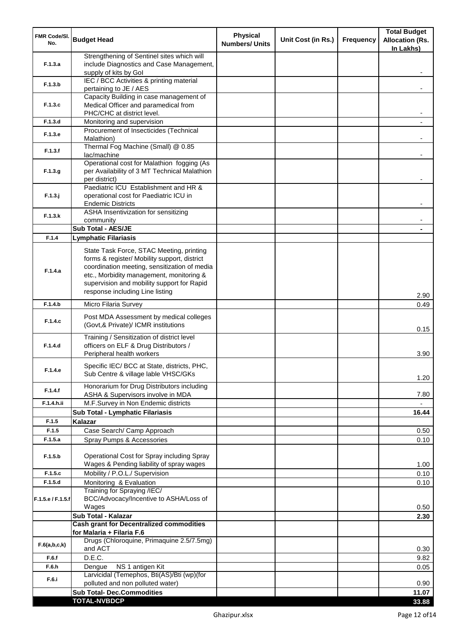| <b>FMR Code/SI.</b><br>No. | <b>Budget Head</b>                                                                                                                                                                                                                                                    | <b>Physical</b><br><b>Numbers/ Units</b> | Unit Cost (in Rs.) | <b>Frequency</b> | <b>Total Budget</b><br><b>Allocation (Rs.</b><br>In Lakhs) |
|----------------------------|-----------------------------------------------------------------------------------------------------------------------------------------------------------------------------------------------------------------------------------------------------------------------|------------------------------------------|--------------------|------------------|------------------------------------------------------------|
| F.1.3.a                    | Strengthening of Sentinel sites which will<br>include Diagnostics and Case Management,<br>supply of kits by Gol                                                                                                                                                       |                                          |                    |                  |                                                            |
| F.1.3.b                    | IEC / BCC Activities & printing material<br>pertaining to JE / AES                                                                                                                                                                                                    |                                          |                    |                  |                                                            |
| F.1.3.c                    | Capacity Building in case management of<br>Medical Officer and paramedical from                                                                                                                                                                                       |                                          |                    |                  |                                                            |
|                            | PHC/CHC at district level.                                                                                                                                                                                                                                            |                                          |                    |                  |                                                            |
| F.1.3.d                    | Monitoring and supervision<br>Procurement of Insecticides (Technical                                                                                                                                                                                                  |                                          |                    |                  |                                                            |
| F.1.3.e                    | Malathion)<br>Thermal Fog Machine (Small) @ 0.85                                                                                                                                                                                                                      |                                          |                    |                  |                                                            |
| F.1.3.f                    | lac/machine                                                                                                                                                                                                                                                           |                                          |                    |                  |                                                            |
| F.1.3.g                    | Operational cost for Malathion fogging (As<br>per Availability of 3 MT Technical Malathion<br>per district)                                                                                                                                                           |                                          |                    |                  |                                                            |
| $F.1.3.$ j                 | Paediatric ICU Establishment and HR &<br>operational cost for Paediatric ICU in<br><b>Endemic Districts</b>                                                                                                                                                           |                                          |                    |                  |                                                            |
| F.1.3.k                    | ASHA Insentivization for sensitizing<br>community                                                                                                                                                                                                                     |                                          |                    |                  |                                                            |
|                            | Sub Total - AES/JE                                                                                                                                                                                                                                                    |                                          |                    |                  |                                                            |
| F.1.4                      | <b>Lymphatic Filariasis</b>                                                                                                                                                                                                                                           |                                          |                    |                  |                                                            |
| F.1.4.a                    | State Task Force, STAC Meeting, printing<br>forms & register/ Mobility support, district<br>coordination meeting, sensitization of media<br>etc., Morbidity management, monitoring &<br>supervision and mobility support for Rapid<br>response including Line listing |                                          |                    |                  | 2.90                                                       |
| F.1.4.b                    | Micro Filaria Survey                                                                                                                                                                                                                                                  |                                          |                    |                  | 0.49                                                       |
| F.1.4.c                    | Post MDA Assessment by medical colleges<br>(Govt,& Private)/ ICMR institutions                                                                                                                                                                                        |                                          |                    |                  | 0.15                                                       |
| F.1.4.d                    | Training / Sensitization of district level<br>officers on ELF & Drug Distributors /<br>Peripheral health workers                                                                                                                                                      |                                          |                    |                  | 3.90                                                       |
| F.1.4.e                    | Specific IEC/ BCC at State, districts, PHC,<br>Sub Centre & village lable VHSC/GKs                                                                                                                                                                                    |                                          |                    |                  | 1.20                                                       |
| F.1.4.f                    | Honorarium for Drug Distributors including<br>ASHA & Supervisors involve in MDA                                                                                                                                                                                       |                                          |                    |                  | 7.80                                                       |
| F.1.4.h.ii                 | M.F.Survey in Non Endemic districts                                                                                                                                                                                                                                   |                                          |                    |                  |                                                            |
|                            | Sub Total - Lymphatic Filariasis                                                                                                                                                                                                                                      |                                          |                    |                  | 16.44                                                      |
| F.1.5                      | Kalazar                                                                                                                                                                                                                                                               |                                          |                    |                  |                                                            |
| F.1.5                      | Case Search/ Camp Approach                                                                                                                                                                                                                                            |                                          |                    |                  | 0.50                                                       |
| F.1.5.a                    | Spray Pumps & Accessories                                                                                                                                                                                                                                             |                                          |                    |                  | 0.10                                                       |
| F.1.5.b                    | Operational Cost for Spray including Spray<br>Wages & Pending liability of spray wages                                                                                                                                                                                |                                          |                    |                  | 1.00                                                       |
| F.1.5.c                    | Mobility / P.O.L./ Supervision                                                                                                                                                                                                                                        |                                          |                    |                  | 0.10                                                       |
| F.1.5.d                    | Monitoring & Evaluation                                                                                                                                                                                                                                               |                                          |                    |                  | 0.10                                                       |
| F.1.5.e / F.1.5.f          | Training for Spraying /IEC/<br>BCC/Advocacy/Incentive to ASHA/Loss of<br>Wages                                                                                                                                                                                        |                                          |                    |                  | 0.50                                                       |
|                            | Sub Total - Kalazar                                                                                                                                                                                                                                                   |                                          |                    |                  | 2.30                                                       |
|                            | <b>Cash grant for Decentralized commodities</b><br>for Malaria + Filaria F.6                                                                                                                                                                                          |                                          |                    |                  |                                                            |
| F.6(a,b,c,k)               | Drugs (Chloroquine, Primaquine 2.5/7.5mg)<br>and ACT                                                                                                                                                                                                                  |                                          |                    |                  | 0.30                                                       |
| F.6.f                      | D.E.C.                                                                                                                                                                                                                                                                |                                          |                    |                  | 9.82                                                       |
| F.6.h                      | NS 1 antigen Kit<br>Dengue                                                                                                                                                                                                                                            |                                          |                    |                  | 0.05                                                       |
| F.6.i                      | Larvicidal (Temephos, Bti(AS)/Bti (wp)(for<br>polluted and non polluted water)                                                                                                                                                                                        |                                          |                    |                  | 0.90                                                       |
|                            | <b>Sub Total- Dec.Commodities</b>                                                                                                                                                                                                                                     |                                          |                    |                  | 11.07                                                      |
|                            | <b>TOTAL-NVBDCP</b>                                                                                                                                                                                                                                                   |                                          |                    |                  | 33.88                                                      |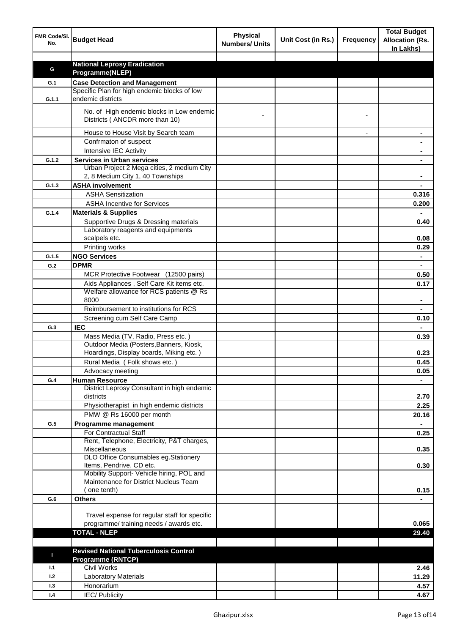| FMR Code/SI.<br>No. | <b>Budget Head</b>                                                                   | <b>Physical</b><br><b>Numbers/ Units</b> | Unit Cost (in Rs.) | <b>Frequency</b> | <b>Total Budget</b><br><b>Allocation (Rs.</b><br>In Lakhs) |
|---------------------|--------------------------------------------------------------------------------------|------------------------------------------|--------------------|------------------|------------------------------------------------------------|
|                     |                                                                                      |                                          |                    |                  |                                                            |
| G                   | <b>National Leprosy Eradication</b>                                                  |                                          |                    |                  |                                                            |
|                     | Programme(NLEP)                                                                      |                                          |                    |                  |                                                            |
| G.1                 | <b>Case Detection and Management</b><br>Specific Plan for high endemic blocks of low |                                          |                    |                  |                                                            |
| G.1.1               | endemic districts                                                                    |                                          |                    |                  |                                                            |
|                     | No. of High endemic blocks in Low endemic<br>Districts (ANCDR more than 10)          |                                          |                    |                  |                                                            |
|                     |                                                                                      |                                          |                    |                  |                                                            |
|                     | House to House Visit by Search team                                                  |                                          |                    |                  |                                                            |
|                     | Confrmaton of suspect                                                                |                                          |                    |                  |                                                            |
|                     | Intensive IEC Activity                                                               |                                          |                    |                  |                                                            |
| G.1.2               | <b>Services in Urban services</b><br>Urban Project 2 Mega cities, 2 medium City      |                                          |                    |                  |                                                            |
|                     | 2, 8 Medium City 1, 40 Townships                                                     |                                          |                    |                  |                                                            |
| G.1.3               | <b>ASHA involvement</b>                                                              |                                          |                    |                  |                                                            |
|                     | <b>ASHA Sensitization</b>                                                            |                                          |                    |                  | 0.316                                                      |
|                     | <b>ASHA Incentive for Services</b>                                                   |                                          |                    |                  | 0.200                                                      |
| G.1.4               | <b>Materials &amp; Supplies</b>                                                      |                                          |                    |                  |                                                            |
|                     | Supportive Drugs & Dressing materials                                                |                                          |                    |                  |                                                            |
|                     | Laboratory reagents and equipments                                                   |                                          |                    |                  | 0.40                                                       |
|                     | scalpels etc.                                                                        |                                          |                    |                  | 0.08                                                       |
|                     | Printing works                                                                       |                                          |                    |                  | 0.29                                                       |
| G.1.5               | <b>NGO Services</b>                                                                  |                                          |                    |                  | $\blacksquare$                                             |
| G.2                 | <b>DPMR</b>                                                                          |                                          |                    |                  | $\blacksquare$                                             |
|                     | MCR Protective Footwear (12500 pairs)                                                |                                          |                    |                  | 0.50                                                       |
|                     | Aids Appliances, Self Care Kit items etc.                                            |                                          |                    |                  | 0.17                                                       |
|                     | Welfare allowance for RCS patients @ Rs                                              |                                          |                    |                  |                                                            |
|                     | 8000                                                                                 |                                          |                    |                  |                                                            |
|                     | Reimbursement to institutions for RCS                                                |                                          |                    |                  |                                                            |
|                     | Screening cum Self Care Camp                                                         |                                          |                    |                  | 0.10                                                       |
| G.3                 | <b>IEC</b>                                                                           |                                          |                    |                  |                                                            |
|                     | Mass Media (TV, Radio, Press etc.)                                                   |                                          |                    |                  | 0.39                                                       |
|                     | Outdoor Media (Posters, Banners, Kiosk,                                              |                                          |                    |                  |                                                            |
|                     | Hoardings, Display boards, Miking etc.)                                              |                                          |                    |                  | 0.23                                                       |
|                     | Rural Media (Folk shows etc.)                                                        |                                          |                    |                  | 0.45                                                       |
|                     | Advocacy meeting                                                                     |                                          |                    |                  | 0.05                                                       |
| G.4                 | <b>Human Resource</b>                                                                |                                          |                    |                  |                                                            |
|                     | District Leprosy Consultant in high endemic<br>districts                             |                                          |                    |                  | 2.70                                                       |
|                     | Physiotherapist in high endemic districts                                            |                                          |                    |                  | 2.25                                                       |
|                     | PMW @ Rs 16000 per month                                                             |                                          |                    |                  | 20.16                                                      |
| G.5                 | Programme management                                                                 |                                          |                    |                  | $\blacksquare$                                             |
|                     | <b>For Contractual Staff</b>                                                         |                                          |                    |                  | 0.25                                                       |
|                     | Rent, Telephone, Electricity, P&T charges,                                           |                                          |                    |                  |                                                            |
|                     | Miscellaneous<br>DLO Office Consumables eg.Stationery                                |                                          |                    |                  | 0.35                                                       |
|                     | Items, Pendrive, CD etc.                                                             |                                          |                    |                  | 0.30                                                       |
|                     | Mobility Support- Vehicle hiring, POL and                                            |                                          |                    |                  |                                                            |
|                     | Maintenance for District Nucleus Team                                                |                                          |                    |                  |                                                            |
|                     | (one tenth)                                                                          |                                          |                    |                  | 0.15                                                       |
| G.6                 | <b>Others</b>                                                                        |                                          |                    |                  |                                                            |
|                     |                                                                                      |                                          |                    |                  |                                                            |
|                     | Travel expense for regular staff for specific                                        |                                          |                    |                  |                                                            |
|                     | programme/ training needs / awards etc.                                              |                                          |                    |                  | 0.065                                                      |
|                     | <b>TOTAL - NLEP</b>                                                                  |                                          |                    |                  | 29.40                                                      |
|                     |                                                                                      |                                          |                    |                  |                                                            |
| п                   | <b>Revised National Tuberculosis Control</b>                                         |                                          |                    |                  |                                                            |
|                     | <b>Programme (RNTCP)</b>                                                             |                                          |                    |                  |                                                            |
| 1.1                 | <b>Civil Works</b>                                                                   |                                          |                    |                  | 2.46                                                       |
| 1.2                 | <b>Laboratory Materials</b>                                                          |                                          |                    |                  | 11.29                                                      |
| 1.3                 | Honorarium                                                                           |                                          |                    |                  | 4.57                                                       |
| 1.4                 | <b>IEC/Publicity</b>                                                                 |                                          |                    |                  | 4.67                                                       |